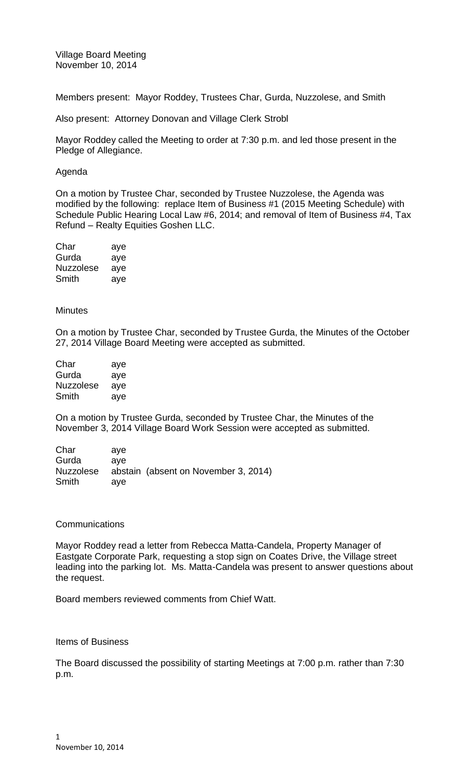Village Board Meeting November 10, 2014

Members present: Mayor Roddey, Trustees Char, Gurda, Nuzzolese, and Smith

Also present: Attorney Donovan and Village Clerk Strobl

Mayor Roddey called the Meeting to order at 7:30 p.m. and led those present in the Pledge of Allegiance.

## Agenda

On a motion by Trustee Char, seconded by Trustee Nuzzolese, the Agenda was modified by the following: replace Item of Business #1 (2015 Meeting Schedule) with Schedule Public Hearing Local Law #6, 2014; and removal of Item of Business #4, Tax Refund – Realty Equities Goshen LLC.

| Char      | aye |
|-----------|-----|
| Gurda     | aye |
| Nuzzolese | aye |
| Smith     | aye |

## **Minutes**

On a motion by Trustee Char, seconded by Trustee Gurda, the Minutes of the October 27, 2014 Village Board Meeting were accepted as submitted.

| Char      | aye |
|-----------|-----|
| Gurda     | aye |
| Nuzzolese | aye |
| Smith     | aye |

On a motion by Trustee Gurda, seconded by Trustee Char, the Minutes of the November 3, 2014 Village Board Work Session were accepted as submitted.

| ave |                                      |
|-----|--------------------------------------|
| ave |                                      |
|     | abstain (absent on November 3, 2014) |
| ave |                                      |
|     |                                      |

## **Communications**

Mayor Roddey read a letter from Rebecca Matta-Candela, Property Manager of Eastgate Corporate Park, requesting a stop sign on Coates Drive, the Village street leading into the parking lot. Ms. Matta-Candela was present to answer questions about the request.

Board members reviewed comments from Chief Watt.

## Items of Business

The Board discussed the possibility of starting Meetings at 7:00 p.m. rather than 7:30 p.m.